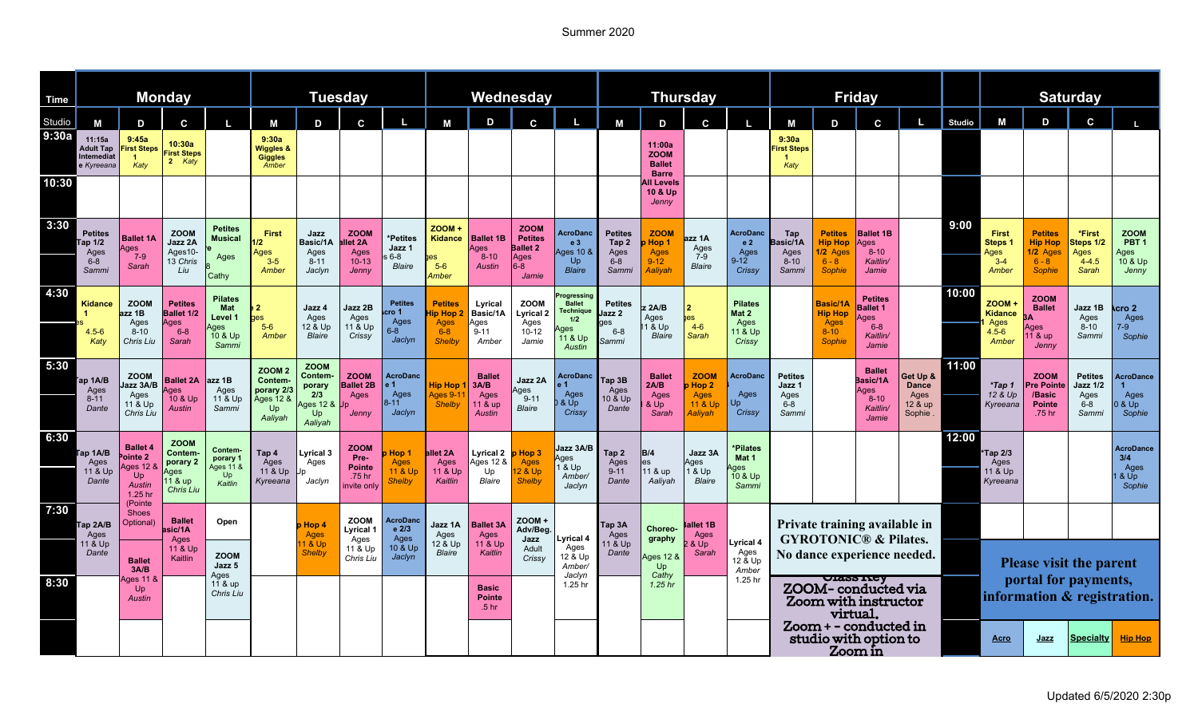## Summer 2020

| <b>Time</b>     | <b>Monday</b>                                               |                                                                           |                                                                          |                                                              | <b>Tuesday</b>                                                              |                                                                                  |                                                              |                                                      | Wednesday                                                    |                                                       |                                                                          |                                                                                   | <b>Thursday</b>                                     |                                                             |                                                           |                                                                 | <b>Friday</b>                                                               |                                                                   |                                                                          |                                                       |               | <b>Saturday</b>                                     |                                                                   |                                                               |                                                             |
|-----------------|-------------------------------------------------------------|---------------------------------------------------------------------------|--------------------------------------------------------------------------|--------------------------------------------------------------|-----------------------------------------------------------------------------|----------------------------------------------------------------------------------|--------------------------------------------------------------|------------------------------------------------------|--------------------------------------------------------------|-------------------------------------------------------|--------------------------------------------------------------------------|-----------------------------------------------------------------------------------|-----------------------------------------------------|-------------------------------------------------------------|-----------------------------------------------------------|-----------------------------------------------------------------|-----------------------------------------------------------------------------|-------------------------------------------------------------------|--------------------------------------------------------------------------|-------------------------------------------------------|---------------|-----------------------------------------------------|-------------------------------------------------------------------|---------------------------------------------------------------|-------------------------------------------------------------|
|                 |                                                             |                                                                           |                                                                          |                                                              |                                                                             |                                                                                  |                                                              |                                                      |                                                              |                                                       |                                                                          |                                                                                   |                                                     |                                                             |                                                           |                                                                 |                                                                             |                                                                   |                                                                          |                                                       |               |                                                     |                                                                   |                                                               |                                                             |
| Studio<br>9:30a | M<br>11:15a<br><b>Adult Tap</b><br>Intemediat<br>e Kyreeana | D<br>9:45a<br>irst Steps<br>$\blacktriangleleft$<br>Katy                  | C<br>10:30a<br><b>First Steps</b><br>2 Katy                              |                                                              | М<br>9:30a<br>Wiggles &<br><b>Giggles</b><br>Amber                          | D                                                                                | C                                                            | L,                                                   | M                                                            | D                                                     | C.                                                                       |                                                                                   | М                                                   | D<br>11:00a<br><b>ZOOM</b><br><b>Ballet</b><br><b>Barre</b> | C                                                         |                                                                 | М<br>9:30a<br><b>irst Steps</b><br>Katy                                     | D                                                                 | C.                                                                       |                                                       | <b>Studio</b> | М                                                   | D                                                                 | $\mathbf c$                                                   |                                                             |
| 10:30           |                                                             |                                                                           |                                                                          |                                                              |                                                                             |                                                                                  |                                                              |                                                      |                                                              |                                                       |                                                                          |                                                                                   |                                                     | <b>II</b> Levels<br>10 & Up<br>Jenny                        |                                                           |                                                                 |                                                                             |                                                                   |                                                                          |                                                       |               |                                                     |                                                                   |                                                               |                                                             |
| 3:30            | <b>Petites</b><br>Tap 1/2<br>Ages<br>6-8<br>Sammi           | <b>Ballet 1A</b><br><b>Ages</b><br>$7 - 9$<br>Sarah                       | <b>ZOOM</b><br>Jazz 2A<br>Ages10-<br>13 Chris<br>Liu                     | <b>Petites</b><br><b>Musical</b><br>Ages<br>Cathy            | First<br>12 <sup>2</sup><br>Ages<br>$3 - 5$<br>Amber                        | Jazz<br>Basic/1A<br>Ages<br>$8 - 11$<br>Jaclyn                                   | <b>ZOOM</b><br>let 2A<br>Ages<br>$10 - 13$<br>Jenny          | *Petites<br>Jazz 1<br>$6 - 8$<br><b>Blaire</b>       | <b>ZOOM +</b><br>Kidance<br>ies<br>$5-6$<br>Amber            | <b>Ballet 1B</b><br>Ages<br>$8 - 10$<br><b>Austin</b> | <b>ZOOM</b><br><b>Petites</b><br><b>Ballet 2</b><br>Ages<br>8-6<br>Jamie | <b>AcroDanc</b><br>e <sub>3</sub><br>Ages 10 &<br>Up<br><b>Blaire</b>             | <b>Petites</b><br>Tap 2<br>Ages<br>6-8<br>Sammi     | <b>ZOOM</b><br>Hop 1<br>Ages<br>9-12<br>Aaliyah             | azz 1A<br>Ages<br>$7-9$<br><b>Blaire</b>                  | <b>AcroDanc</b><br>e <sub>2</sub><br>Ages<br>$9 - 12$<br>Crissy | Tap<br>Basic/1A<br>Ages<br>$8-10$<br>Sammi                                  | <b>Petites</b><br><b>Hip Hop</b><br>1/2 Ages<br>$6 - 8$<br>Sophie | <b>Ballet 1B</b><br><b>Ages</b><br>$8 - 10$<br>Kaitlin/<br>Jamie         |                                                       | 9:00          | <b>First</b><br>Steps 1<br>Ages<br>$3 - 4$<br>Amber | <b>Petites</b><br><b>Hip Hop</b><br>1/2 Ages<br>$6 - 8$<br>Sophie | *First<br>Steps 1/2<br>Ages<br>$4 - 4.5$<br>Sarah             | <b>ZOOM</b><br>PBT <sub>1</sub><br>Ages<br>10 & Up<br>Jenny |
| 4:30            | Kidance<br>Katy                                             | <b>ZOOM</b><br>ızz 1B<br>Ages<br>$8 - 10$<br>Chris Liu                    | <b>Petites</b><br><b>Ballet 1/2</b><br><b>Ages</b><br>$6 - 8$<br>Sarah   | Pilates<br><b>Mat</b><br>Level 1<br>Ages<br>10 & Up<br>Sammi | es<br>$5-6$<br>Amber                                                        | Jazz 4<br>Ages<br>12 & Up<br><b>Blaire</b>                                       | Jazz 2B<br>Ages<br>11 & Up<br>Crissy                         | <b>Petites</b><br>cro 1<br>Ages<br>$6 - 8$<br>Jaclyn | <b>Petites</b><br>ip Hop<br>Ages<br>$6 - 8$<br><b>Shelby</b> | Lyrical<br>Basic/1A<br>Ages<br>$9 - 11$<br>Amber      | <b>ZOOM</b><br>Lyrical 2<br>Ages<br>$10 - 12$<br>Jamie                   | ogressing<br><b>Ballet</b><br><b>Technique</b><br>1/2<br>ges<br>11 & Up<br>Austin | <b>Petites</b><br>lazz 2<br>qes<br>$6 - 8$<br>Sammi | 2A/B<br>Ages<br>1 & Up<br><b>Blaire</b>                     | 2<br>hes<br>$4-6$<br>Sarah                                | <b>Pilates</b><br>Mat 2<br>Ages<br>11 & Up<br>Crissy            |                                                                             | Basic/1A<br><b>Hip Hop</b><br>Ages<br>8-10<br><b>Sophie</b>       | <b>Petites</b><br><b>Ballet 1</b><br>ges<br>$6 - 8$<br>Kaitlin/<br>Jamie |                                                       | 10:00         | ZOOM+<br>Kidance<br>Ages<br>$4.5 - 6$<br>Amber      | <b>ZOOM</b><br><b>Ballet</b><br>Ages<br>11 & up<br>Jenny          | Jazz 1B<br>Ages<br>$8 - 10$<br>Sammi                          | cro 2،<br>Ages<br>$7-9$<br>Sophie                           |
| 5:30            | ap 1A/B<br>Ages<br>$8 - 11$<br>Dante                        | <b>ZOOM</b><br>Jazz 3A/B<br>Ages<br>11 & Up<br>Chris Liu                  | <b>Ballet 2A</b><br>Ages<br>10 & Up<br>Austin                            | <b>zz 1B</b><br>Ages<br>11 & Up<br>Sammi                     | <b>ZOOM 2</b><br><b>Contem-</b><br>porary 2/3<br>Ages 12 &<br>Up<br>Aaliyah | <b>ZOOM</b><br>Contem-<br>porary<br>2/3<br><b>Ages 12 &amp;</b><br>Up<br>Aaliyah | <b>ZOOM</b><br><b>Ballet 2B</b><br>Ages<br>Jenny             | <b>AcroDanc</b><br>Ages<br>$8 - 11$<br>Jaclyn        | <b>Hip Hop</b><br>Aaes 9-1<br><b>Shelby</b>                  | <b>Ballet</b><br>3A/B<br>Ages<br>11 & up<br>Austin    | Jazz 2A<br>Ages<br>$9 - 11$<br><b>Blaire</b>                             | AcroDanc<br>Ages<br>& Up<br>Crissy                                                | Tap 3B<br>Ages<br>10 & Up<br>Dante                  | <b>Ballet</b><br>2A/B<br>Ages<br>& Up<br>Sarah              | <b>ZOOM</b><br>Hop 2<br><b>Ages</b><br>11 & Up<br>Aaliyah | <b>AcroDanc</b><br>Ages<br>Crissy                               | <b>Petites</b><br>Jazz 1<br>Ages<br>$6 - 8$<br>Sammi                        |                                                                   | <b>Ballet</b><br>Basic/1A<br>Ages<br>$8 - 10$<br><b>Kaitlin</b><br>Jamie | Get Up &<br><b>Dance</b><br>Ages<br>12 & up<br>Sophie | 11:00         | *Tap 1<br>12 & Up<br>Kyreeana                       | <b>ZOOM</b><br><b>Pre Pointe</b><br>/Basic<br>Pointe<br>.75 hr    | <b>Petites</b><br><b>Jazz 1/2</b><br>Ages<br>$6 - 8$<br>Sammi | <b>AcroDance</b><br>Ages<br>8 Up<br>Sophie                  |
| 6:30            | ap 1A/B<br>Ages<br>11 & Up<br>Dante                         | <b>Ballet 4</b><br>ointe 2<br>4 Ages 12<br>Up<br><b>Austin</b><br>1.25 hr | <b>ZOOM</b><br>Contem<br>porary 2<br>Ages<br>11 & up<br><b>Chris Liu</b> | <b>Contem</b><br>porary 1<br>Ages 11 &<br>Up<br>Kaitlin      | Tap 4<br>Ages<br>11 & Up<br>Kyreeana                                        | Lyrical 3<br>Ages<br>Jaclyn                                                      | <b>ZOOM</b><br>Pre-<br><b>Pointe</b><br>.75 hr<br>nvite only | Hop 1<br><b>Ages</b><br>11 & Up<br><b>Shelby</b>     | allet 2A<br>Ages<br>11 & Up<br>Kaitlin                       | Lyrical 2<br>Ages 12 &<br>Up<br>Blaire                | p Hop 3<br>Ages<br>2 & Up<br><b>Shelby</b>                               | Jazz 3A/B<br><b>ges</b><br>8 Up<br>Amber/<br>Jaclyn                               | Tap 2<br>Ages<br>$9 - 11$<br>Dante                  | <b>B/4</b><br><b>les</b><br>11 & up<br>Aaliyah              | Jazz 3A<br>Ages<br>1 & Up<br><b>Blaire</b>                | *Pilates<br>Mat 1<br><b>ges</b><br>10 & Up<br><b>Samm</b>       |                                                                             |                                                                   |                                                                          |                                                       | 12:00         | Tap 2/3<br>Ages<br>11 & Up<br>Kyreeana              |                                                                   |                                                               | <b>AcroDance</b><br>3/4<br>Ages<br>& Up<br>Sophie           |
| 7:30            | Tap 2A/B<br>Ages                                            | (Pointe<br><b>Shoes</b><br><b>Ballet</b><br>Optional)<br>asic/1A<br>Ages  |                                                                          | Open                                                         |                                                                             | Hop 4<br>Ages                                                                    | <b>ZOOM</b><br>∟vrical 1<br>Ages                             | AcroDanc<br>e 2/3<br>Ages                            | Jazz 1A<br>Ages                                              | <b>Ballet 3A</b><br>Ages                              | ZOOM+<br>Adv/Beg<br>Jazz                                                 | Lyrical 4                                                                         | ⊺ap 3A<br>Ages                                      | Choreo-<br>graphy                                           | Ballet 1B<br>Ages                                         |                                                                 |                                                                             | Private training available in<br><b>GYROTONIC® &amp; Pilates.</b> |                                                                          |                                                       |               |                                                     |                                                                   |                                                               |                                                             |
|                 | 11 & Up<br>Dante                                            | <b>Ballet</b><br>3A/B                                                     | 11 & Up<br>Kaitlin                                                       | <b>ZOOM</b><br>Jazz 5<br>Ages                                |                                                                             | 1 & Up<br><b>Shelby</b>                                                          | 11 & Up<br>Chris Liu                                         | 10 & Up<br>Jaclyn                                    | 12 & Up<br><b>Blaire</b>                                     | 11 & Up<br>Kaitlin                                    | Adult<br>Crissy                                                          | Ages<br>12 & Up<br>Amber/<br>Jaclyn                                               | 11 & Up<br>Dante                                    | ges 12 &<br>Up<br>Cathy                                     | $&$ Up<br>Sarah                                           | Lyrical 4<br>Ages<br>12 & Up<br>Amber                           |                                                                             |                                                                   |                                                                          | No dance experience needed.                           |               |                                                     | Please visit the parent<br>portal for payments,                   |                                                               |                                                             |
| 8:30            |                                                             | Ages 11 &<br>Up<br><b>Austin</b>                                          |                                                                          | 11 & up<br>Chris Liu                                         |                                                                             |                                                                                  |                                                              |                                                      |                                                              | <b>Basic</b><br><b>Pointe</b><br>.5 <sub>hr</sub>     |                                                                          | 1.25 hr                                                                           |                                                     | 1.25 <sub>hr</sub>                                          |                                                           | 1.25 hr                                                         | <b>CIASS ILEY</b><br>ZOOM-conducted via<br>Zoom with instructor<br>virtual. |                                                                   |                                                                          |                                                       |               |                                                     |                                                                   | information & registration.                                   |                                                             |
|                 |                                                             |                                                                           |                                                                          |                                                              |                                                                             |                                                                                  |                                                              |                                                      |                                                              |                                                       |                                                                          |                                                                                   |                                                     |                                                             |                                                           |                                                                 | Zoom + - conducted in<br>studio with option to<br>Zoom in                   |                                                                   |                                                                          |                                                       |               | <b>Acro</b>                                         | <u>Jazz</u>                                                       | <b>Specialty</b>                                              | <b>Hip Hop</b>                                              |